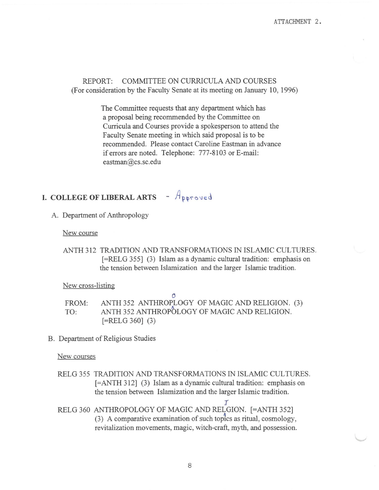REPORT: COMMITTEE ON CURRICULA AND COURSES (For consideration by the Faculty Senate at its meeting on January 10, 1996)

> The Committee requests that any department which has a proposal being recommended by the Committee on Curricula and Courses provide a spokesperson to attend the Faculty Senate meeting in which said proposal is to be recommended. Please contact Caroline Eastman in advance if errors are noted. Telephone: 777-8103 or E-mail: eastman@cs.sc.edu

# **I. COLLEGE OF LIBERAL ARTS** -  $A_{\text{proved}}$

A. Department of Anthropology

New course

ANTH 312 TRADITION AND TRANSFORMATIONS IN ISLAMIC CULTURES. [=RELG 355] (3) Islam as a dynamic cultural tradition: emphasis on the tension between Islamization and the larger Islamic tradition.

New cross-listing

FROM: TO: ANTH 352 ANTHROPLOGY OF MAGIC AND RELIGION. (3) ANTH 352 ANTHROPOLOGY OF MAGIC AND RELIGION.  $[=RELG 360]$  (3)

 $\mathbf{\Omega}$ 

B. Department of Religious Studies

New courses

RELG 355 TRADITION AND TRANSFORMATIONS IN ISLAMIC CULTURES. [=ANTH 312] (3) Islam as a dynamic cultural tradition: emphasis on the tension between Islamization and the larger Islamic tradition.

 $\overline{I}$ RELG 360 ANTHROPOLOGY OF MAGIC AND RELGION. [=ANTH 352]  $(3)$  A comparative examination of such topics as ritual, cosmology, revitalization movements, magic, witch-craft, myth, and possession.

8